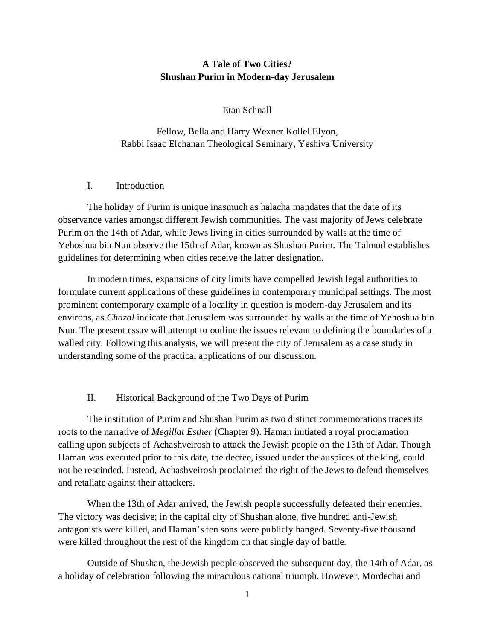# **A Tale of Two Cities? Shushan Purim in Modern-day Jerusalem**

#### Etan Schnall

Fellow, Bella and Harry Wexner Kollel Elyon, Rabbi Isaac Elchanan Theological Seminary, Yeshiva University

#### I. Introduction

The holiday of Purim is unique inasmuch as halacha mandates that the date of its observance varies amongst different Jewish communities. The vast majority of Jews celebrate Purim on the 14th of Adar, while Jews living in cities surrounded by walls at the time of Yehoshua bin Nun observe the 15th of Adar, known as Shushan Purim. The Talmud establishes guidelines for determining when cities receive the latter designation.

In modern times, expansions of city limits have compelled Jewish legal authorities to formulate current applications of these guidelines in contemporary municipal settings. The most prominent contemporary example of a locality in question is modern-day Jerusalem and its environs, as *Chazal* indicate that Jerusalem was surrounded by walls at the time of Yehoshua bin Nun. The present essay will attempt to outline the issues relevant to defining the boundaries of a walled city. Following this analysis, we will present the city of Jerusalem as a case study in understanding some of the practical applications of our discussion.

### II. Historical Background of the Two Days of Purim

The institution of Purim and Shushan Purim as two distinct commemorations traces its roots to the narrative of *Megillat Esther* (Chapter 9). Haman initiated a royal proclamation calling upon subjects of Achashveirosh to attack the Jewish people on the 13th of Adar. Though Haman was executed prior to this date, the decree, issued under the auspices of the king, could not be rescinded. Instead, Achashveirosh proclaimed the right of the Jews to defend themselves and retaliate against their attackers.

When the 13th of Adar arrived, the Jewish people successfully defeated their enemies. The victory was decisive; in the capital city of Shushan alone, five hundred anti-Jewish antagonists were killed, and Haman's ten sons were publicly hanged. Seventy-five thousand were killed throughout the rest of the kingdom on that single day of battle.

Outside of Shushan, the Jewish people observed the subsequent day, the 14th of Adar, as a holiday of celebration following the miraculous national triumph. However, Mordechai and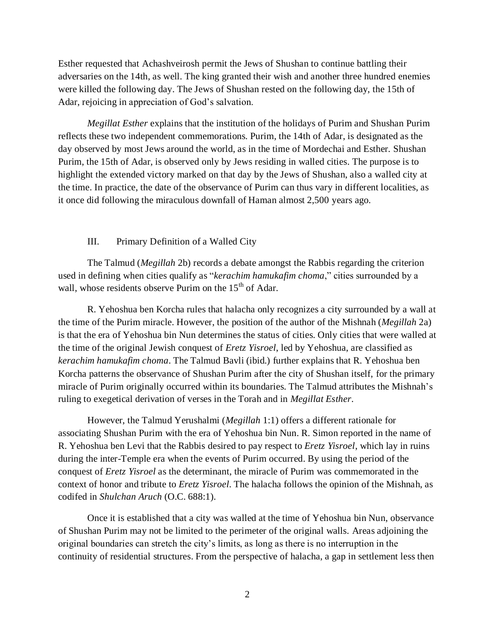Esther requested that Achashveirosh permit the Jews of Shushan to continue battling their adversaries on the 14th, as well. The king granted their wish and another three hundred enemies were killed the following day. The Jews of Shushan rested on the following day, the 15th of Adar, rejoicing in appreciation of God's salvation.

*Megillat Esther* explains that the institution of the holidays of Purim and Shushan Purim reflects these two independent commemorations. Purim, the 14th of Adar, is designated as the day observed by most Jews around the world, as in the time of Mordechai and Esther. Shushan Purim, the 15th of Adar, is observed only by Jews residing in walled cities. The purpose is to highlight the extended victory marked on that day by the Jews of Shushan, also a walled city at the time. In practice, the date of the observance of Purim can thus vary in different localities, as it once did following the miraculous downfall of Haman almost 2,500 years ago.

### III. Primary Definition of a Walled City

The Talmud (*Megillah* 2b) records a debate amongst the Rabbis regarding the criterion used in defining when cities qualify as "*kerachim hamukafim choma*," cities surrounded by a wall, whose residents observe Purim on the 15<sup>th</sup> of Adar.

R. Yehoshua ben Korcha rules that halacha only recognizes a city surrounded by a wall at the time of the Purim miracle. However, the position of the author of the Mishnah (*Megillah* 2a) is that the era of Yehoshua bin Nun determines the status of cities. Only cities that were walled at the time of the original Jewish conquest of *Eretz Yisroel*, led by Yehoshua, are classified as *kerachim hamukafim choma*. The Talmud Bavli (ibid.) further explains that R. Yehoshua ben Korcha patterns the observance of Shushan Purim after the city of Shushan itself, for the primary miracle of Purim originally occurred within its boundaries. The Talmud attributes the Mishnah's ruling to exegetical derivation of verses in the Torah and in *Megillat Esther*.

However, the Talmud Yerushalmi (*Megillah* 1:1) offers a different rationale for associating Shushan Purim with the era of Yehoshua bin Nun. R. Simon reported in the name of R. Yehoshua ben Levi that the Rabbis desired to pay respect to *Eretz Yisroel*, which lay in ruins during the inter-Temple era when the events of Purim occurred. By using the period of the conquest of *Eretz Yisroel* as the determinant, the miracle of Purim was commemorated in the context of honor and tribute to *Eretz Yisroel*. The halacha follows the opinion of the Mishnah, as codifed in *Shulchan Aruch* (O.C. 688:1).

Once it is established that a city was walled at the time of Yehoshua bin Nun, observance of Shushan Purim may not be limited to the perimeter of the original walls. Areas adjoining the original boundaries can stretch the city's limits, as long as there is no interruption in the continuity of residential structures. From the perspective of halacha, a gap in settlement less then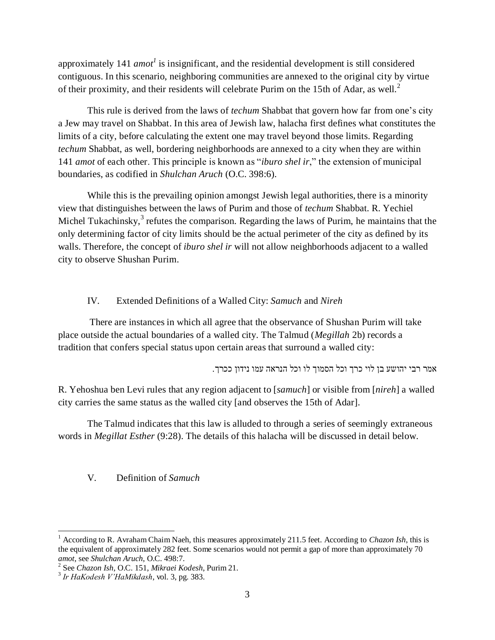approximately 141 *amot*<sup>1</sup> is insignificant, and the residential development is still considered contiguous. In this scenario, neighboring communities are annexed to the original city by virtue of their proximity, and their residents will celebrate Purim on the 15th of Adar, as well.<sup>2</sup>

This rule is derived from the laws of *techum* Shabbat that govern how far from one's city a Jew may travel on Shabbat. In this area of Jewish law, halacha first defines what constitutes the limits of a city, before calculating the extent one may travel beyond those limits. Regarding *techum* Shabbat, as well, bordering neighborhoods are annexed to a city when they are within 141 *amot* of each other. This principle is known as "*iburo shel ir*," the extension of municipal boundaries, as codified in *Shulchan Aruch* (O.C. 398:6).

While this is the prevailing opinion amongst Jewish legal authorities, there is a minority view that distinguishes between the laws of Purim and those of *techum* Shabbat. R. Yechiel Michel Tukachinsky, $3$  refutes the comparison. Regarding the laws of Purim, he maintains that the only determining factor of city limits should be the actual perimeter of the city as defined by its walls. Therefore, the concept of *iburo shel ir* will not allow neighborhoods adjacent to a walled city to observe Shushan Purim.

## IV. Extended Definitions of a Walled City: *Samuch* and *Nireh*

There are instances in which all agree that the observance of Shushan Purim will take place outside the actual boundaries of a walled city. The Talmud (*Megillah* 2b) records a tradition that confers special status upon certain areas that surround a walled city:

אמר רבי יהושע בן לוי כרך וכל הסמוך לו וכל הנראה עמו נידון ככרך.

R. Yehoshua ben Levi rules that any region adjacent to [*samuch*] or visible from [*nireh*] a walled city carries the same status as the walled city [and observes the 15th of Adar].

The Talmud indicates that this law is alluded to through a series of seemingly extraneous words in *Megillat Esther* (9:28). The details of this halacha will be discussed in detail below.

## V. Definition of *Samuch*

<sup>&</sup>lt;sup>1</sup> According to R. Avraham Chaim Naeh, this measures approximately 211.5 feet. According to *Chazon Ish*, this is the equivalent of approximately 282 feet. Some scenarios would not permit a gap of more than approximately 70 *amot*, see *Shulchan Aruch*, O.C. 498:7.

<sup>2</sup> See *Chazon Ish*, O.C. 151, *Mikraei Kodesh*, Purim 21.

<sup>3</sup> *Ir HaKodesh V'HaMikdash*, vol. 3, pg. 383.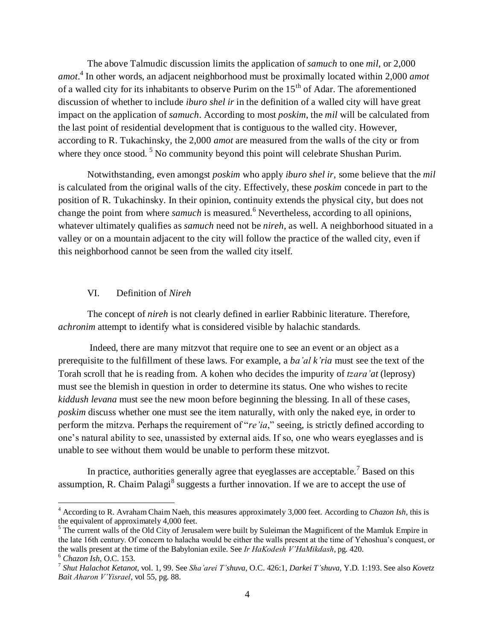The above Talmudic discussion limits the application of *samuch* to one *mil*, or 2,000 *amot*. 4 In other words, an adjacent neighborhood must be proximally located within 2,000 *amot*  of a walled city for its inhabitants to observe Purim on the  $15<sup>th</sup>$  of Adar. The aforementioned discussion of whether to include *iburo shel ir* in the definition of a walled city will have great impact on the application of *samuch*. According to most *poskim*, the *mil* will be calculated from the last point of residential development that is contiguous to the walled city. However, according to R. Tukachinsky, the 2,000 *amot* are measured from the walls of the city or from where they once stood.<sup>5</sup> No community beyond this point will celebrate Shushan Purim.

Notwithstanding, even amongst *poskim* who apply *iburo shel ir*, some believe that the *mil* is calculated from the original walls of the city. Effectively, these *poskim* concede in part to the position of R. Tukachinsky. In their opinion, continuity extends the physical city, but does not change the point from where *samuch* is measured.<sup>6</sup> Nevertheless, according to all opinions, whatever ultimately qualifies as *samuch* need not be *nireh*, as well. A neighborhood situated in a valley or on a mountain adjacent to the city will follow the practice of the walled city, even if this neighborhood cannot be seen from the walled city itself.

### VI. Definition of *Nireh*

The concept of *nireh* is not clearly defined in earlier Rabbinic literature. Therefore, *achronim* attempt to identify what is considered visible by halachic standards.

Indeed, there are many mitzvot that require one to see an event or an object as a prerequisite to the fulfillment of these laws. For example, a *ba'al k'ria* must see the text of the Torah scroll that he is reading from. A kohen who decides the impurity of *tzara'at* (leprosy) must see the blemish in question in order to determine its status. One who wishes to recite *kiddush levana* must see the new moon before beginning the blessing. In all of these cases, *poskim* discuss whether one must see the item naturally, with only the naked eye, in order to perform the mitzva. Perhaps the requirement of "*re'ia*," seeing, is strictly defined according to one's natural ability to see, unassisted by external aids. If so, one who wears eyeglasses and is unable to see without them would be unable to perform these mitzvot.

In practice, authorities generally agree that eyeglasses are acceptable.<sup>7</sup> Based on this assumption, R. Chaim Palagi<sup>8</sup> suggests a further innovation. If we are to accept the use of

<sup>4</sup> According to R. Avraham Chaim Naeh, this measures approximately 3,000 feet. According to *Chazon Ish*, this is the equivalent of approximately 4,000 feet.

<sup>&</sup>lt;sup>5</sup> The current walls of the Old City of Jerusalem were built by Suleiman the Magnificent of the Mamluk Empire in the late 16th century. Of concern to halacha would be either the walls present at the time of Yehoshua's conquest, or the walls present at the time of the Babylonian exile. See *Ir HaKodesh V'HaMikdash*, pg. 420.

<sup>6</sup> *Chazon Ish*, O.C. 153.

<sup>7</sup> *Shut Halachot Ketanot*, vol. 1, 99. See *Sha'arei T'shuva*, O.C. 426:1, *Darkei T'shuva*, Y.D. 1:193. See also *Kovetz Bait Aharon V'Yisrael*, vol 55, pg. 88.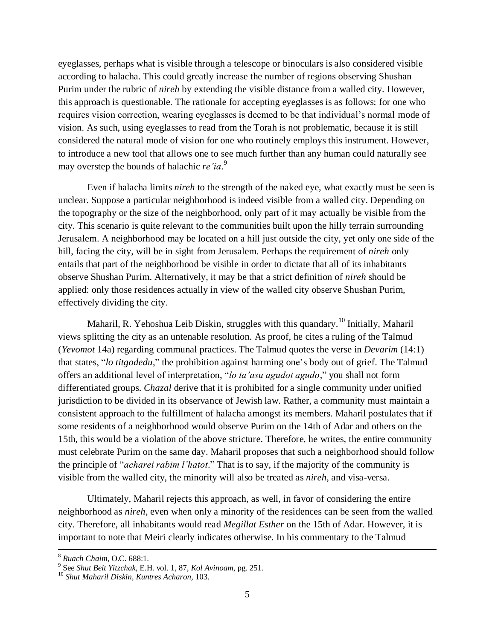eyeglasses, perhaps what is visible through a telescope or binoculars is also considered visible according to halacha. This could greatly increase the number of regions observing Shushan Purim under the rubric of *nireh* by extending the visible distance from a walled city. However, this approach is questionable. The rationale for accepting eyeglasses is as follows: for one who requires vision correction, wearing eyeglasses is deemed to be that individual's normal mode of vision. As such, using eyeglasses to read from the Torah is not problematic, because it is still considered the natural mode of vision for one who routinely employs this instrument. However, to introduce a new tool that allows one to see much further than any human could naturally see may overstep the bounds of halachic *re'ia*. 9

Even if halacha limits *nireh* to the strength of the naked eye, what exactly must be seen is unclear. Suppose a particular neighborhood is indeed visible from a walled city. Depending on the topography or the size of the neighborhood, only part of it may actually be visible from the city. This scenario is quite relevant to the communities built upon the hilly terrain surrounding Jerusalem. A neighborhood may be located on a hill just outside the city, yet only one side of the hill, facing the city, will be in sight from Jerusalem. Perhaps the requirement of *nireh* only entails that part of the neighborhood be visible in order to dictate that all of its inhabitants observe Shushan Purim. Alternatively, it may be that a strict definition of *nireh* should be applied: only those residences actually in view of the walled city observe Shushan Purim, effectively dividing the city.

Maharil, R. Yehoshua Leib Diskin, struggles with this quandary.<sup>10</sup> Initially, Maharil views splitting the city as an untenable resolution. As proof, he cites a ruling of the Talmud (*Yevomot* 14a) regarding communal practices. The Talmud quotes the verse in *Devarim* (14:1) that states, "*lo titgodedu*," the prohibition against harming one's body out of grief. The Talmud offers an additional level of interpretation, "*lo ta'asu agudot agudo*," you shall not form differentiated groups. *Chazal* derive that it is prohibited for a single community under unified jurisdiction to be divided in its observance of Jewish law. Rather, a community must maintain a consistent approach to the fulfillment of halacha amongst its members. Maharil postulates that if some residents of a neighborhood would observe Purim on the 14th of Adar and others on the 15th, this would be a violation of the above stricture. Therefore, he writes, the entire community must celebrate Purim on the same day. Maharil proposes that such a neighborhood should follow the principle of "*acharei rabim l'hatot*." That is to say, if the majority of the community is visible from the walled city, the minority will also be treated as *nireh*, and visa-versa.

Ultimately, Maharil rejects this approach, as well, in favor of considering the entire neighborhood as *nireh,* even when only a minority of the residences can be seen from the walled city. Therefore, all inhabitants would read *Megillat Esther* on the 15th of Adar. However, it is important to note that Meiri clearly indicates otherwise. In his commentary to the Talmud

<sup>8</sup> *Ruach Chaim*, O.C. 688:1.

<sup>9</sup> See *Shut Beit Yitzchak,* E.H. vol. 1, 87, *Kol Avinoam*, pg. 251.

<sup>10</sup> *Shut Maharil Diskin, Kuntres Acharon,* 103.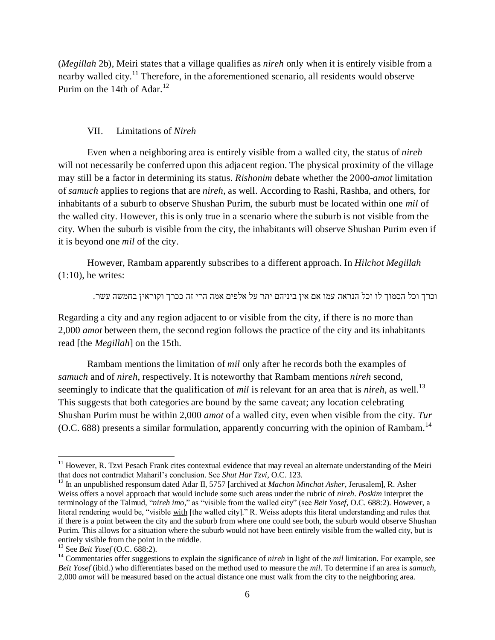(*Megillah* 2b), Meiri states that a village qualifies as *nireh* only when it is entirely visible from a nearby walled city.<sup>11</sup> Therefore, in the aforementioned scenario, all residents would observe Purim on the 14th of Adar.<sup>12</sup>

#### VII. Limitations of *Nireh*

Even when a neighboring area is entirely visible from a walled city, the status of *nireh* will not necessarily be conferred upon this adjacent region. The physical proximity of the village may still be a factor in determining its status. *Rishonim* debate whether the 2000-*amot* limitation of *samuch* applies to regions that are *nireh*, as well. According to Rashi, Rashba, and others, for inhabitants of a suburb to observe Shushan Purim, the suburb must be located within one *mil* of the walled city. However, this is only true in a scenario where the suburb is not visible from the city. When the suburb is visible from the city, the inhabitants will observe Shushan Purim even if it is beyond one *mil* of the city.

However, Rambam apparently subscribes to a different approach. In *Hilchot Megillah*  $(1:10)$ , he writes:

וכרך וכל הסמוך לו וכל הנראה עמו אם אין ביניהם יתר על אלפים אמה הרי זה ככרך וקוראין בחמשה עשר.

Regarding a city and any region adjacent to or visible from the city, if there is no more than 2,000 *amot* between them, the second region follows the practice of the city and its inhabitants read [the *Megillah*] on the 15th.

Rambam mentions the limitation of *mil* only after he records both the examples of *samuch* and of *nireh*, respectively. It is noteworthy that Rambam mentions *nireh* second, seemingly to indicate that the qualification of *mil* is relevant for an area that is *nireh*, as well. 13 This suggests that both categories are bound by the same caveat; any location celebrating Shushan Purim must be within 2,000 *amot* of a walled city, even when visible from the city. *Tur* (O.C. 688) presents a similar formulation, apparently concurring with the opinion of Rambam.<sup>14</sup>

 $11$  However, R. Tzvi Pesach Frank cites contextual evidence that may reveal an alternate understanding of the Meiri that does not contradict Maharil's conclusion. See *Shut Har Tzvi*, O.C. 123.

<sup>12</sup> In an unpublished responsum dated Adar II, 5757 [archived at *Machon Minchat Asher*, Jerusalem], R. Asher Weiss offers a novel approach that would include some such areas under the rubric of *nireh*. *Poskim* interpret the terminology of the Talmud, "*nireh imo*," as "visible from the walled city" (see *Beit Yosef*, O.C. 688:2). However, a literal rendering would be, "visible with [the walled city]." R. Weiss adopts this literal understanding and rules that if there is a point between the city and the suburb from where one could see both, the suburb would observe Shushan Purim. This allows for a situation where the suburb would not have been entirely visible from the walled city, but is entirely visible from the point in the middle.

<sup>13</sup> See *Beit Yosef* (O.C. 688:2).

<sup>14</sup> Commentaries offer suggestions to explain the significance of *nireh* in light of the *mil* limitation. For example, see *Beit Yosef* (ibid.) who differentiates based on the method used to measure the *mil*. To determine if an area is *samuch*, 2,000 *amot* will be measured based on the actual distance one must walk from the city to the neighboring area.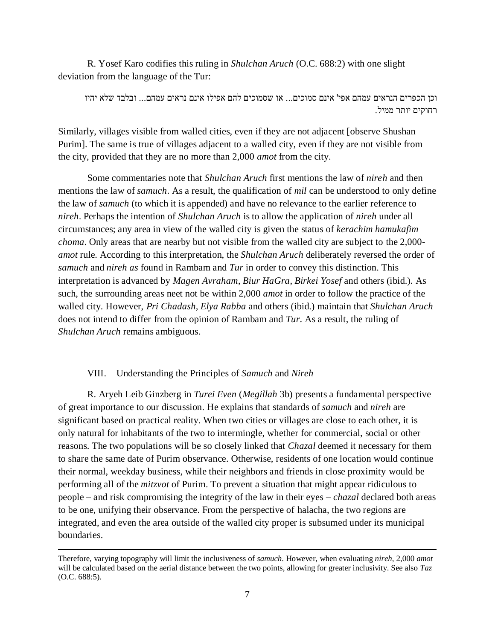R. Yosef Karo codifies this ruling in *Shulchan Aruch* (O.C. 688:2) with one slight deviation from the language of the Tur:

וכן הכפרים הנראים עמהם אפי' אינם סמוכים... או שסמוכים להם אפילו אינם נראים עמהם... ובלבד שלא יהיו רחוקים יותר ממיל.

Similarly, villages visible from walled cities, even if they are not adjacent [observe Shushan Purim]. The same is true of villages adjacent to a walled city, even if they are not visible from the city, provided that they are no more than 2,000 *amot* from the city.

Some commentaries note that *Shulchan Aruch* first mentions the law of *nireh* and then mentions the law of *samuch*. As a result, the qualification of *mil* can be understood to only define the law of *samuch* (to which it is appended) and have no relevance to the earlier reference to *nireh*. Perhaps the intention of *Shulchan Aruch* is to allow the application of *nireh* under all circumstances; any area in view of the walled city is given the status of *kerachim hamukafim choma*. Only areas that are nearby but not visible from the walled city are subject to the 2,000 *amot* rule. According to this interpretation, the *Shulchan Aruch* deliberately reversed the order of *samuch* and *nireh as* found in Rambam and *Tur* in order to convey this distinction. This interpretation is advanced by *Magen Avraham*, *Biur HaGra*, *Birkei Yosef* and others (ibid.). As such, the surrounding areas neet not be within 2,000 *amot* in order to follow the practice of the walled city. However, *Pri Chadash, Elya Rabba* and others (ibid.) maintain that *Shulchan Aruch*  does not intend to differ from the opinion of Rambam and *Tur*. As a result, the ruling of *Shulchan Aruch* remains ambiguous.

### VIII. Understanding the Principles of *Samuch* and *Nireh*

 $\overline{a}$ 

R. Aryeh Leib Ginzberg in *Turei Even* (*Megillah* 3b) presents a fundamental perspective of great importance to our discussion. He explains that standards of *samuch* and *nireh* are significant based on practical reality. When two cities or villages are close to each other, it is only natural for inhabitants of the two to intermingle, whether for commercial, social or other reasons. The two populations will be so closely linked that *Chazal* deemed it necessary for them to share the same date of Purim observance. Otherwise, residents of one location would continue their normal, weekday business, while their neighbors and friends in close proximity would be performing all of the *mitzvot* of Purim. To prevent a situation that might appear ridiculous to people – and risk compromising the integrity of the law in their eyes – *chazal* declared both areas to be one, unifying their observance. From the perspective of halacha, the two regions are integrated, and even the area outside of the walled city proper is subsumed under its municipal boundaries.

Therefore, varying topography will limit the inclusiveness of *samuch*. However, when evaluating *nireh*, 2,000 *amot* will be calculated based on the aerial distance between the two points, allowing for greater inclusivity. See also *Taz* (O.C. 688:5).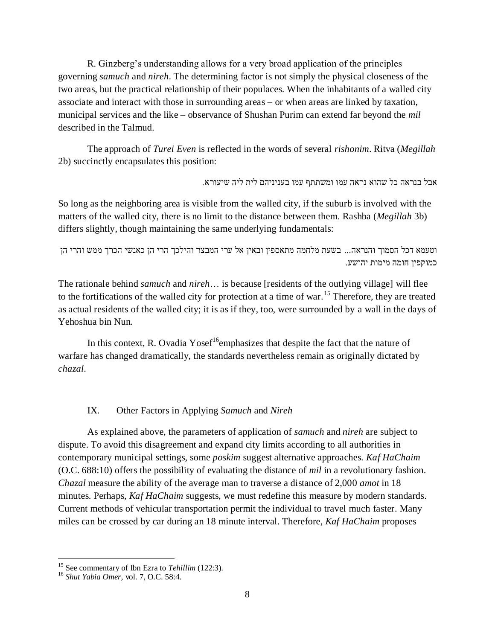R. Ginzberg's understanding allows for a very broad application of the principles governing *samuch* and *nireh*. The determining factor is not simply the physical closeness of the two areas, but the practical relationship of their populaces. When the inhabitants of a walled city associate and interact with those in surrounding areas – or when areas are linked by taxation, municipal services and the like – observance of Shushan Purim can extend far beyond the *mil* described in the Talmud.

The approach of *Turei Even* is reflected in the words of several *rishonim*. Ritva (*Megillah* 2b) succinctly encapsulates this position:

אבל בנראה כל שהוא נראה עמו ומשתתף עמו בעניניהם לית ליה שיעורא.

So long as the neighboring area is visible from the walled city, if the suburb is involved with the matters of the walled city, there is no limit to the distance between them. Rashba (*Megillah* 3b) differs slightly, though maintaining the same underlying fundamentals:

וטעמא דכל הסמוך והנראה... בשעת מלחמה מתאספין ובאין אל ערי המבצר והילכך הרי הן כאנשי הכרך ממש והרי הן כמוקפין חומה מימות יהושע.

The rationale behind *samuch* and *nireh*… is because [residents of the outlying village] will flee to the fortifications of the walled city for protection at a time of war.<sup>15</sup> Therefore, they are treated as actual residents of the walled city; it is as if they, too, were surrounded by a wall in the days of Yehoshua bin Nun.

In this context, R. Ovadia Yosef<sup>16</sup>emphasizes that despite the fact that the nature of warfare has changed dramatically, the standards nevertheless remain as originally dictated by *chazal*.

IX. Other Factors in Applying *Samuch* and *Nireh*

As explained above, the parameters of application of *samuch* and *nireh* are subject to dispute. To avoid this disagreement and expand city limits according to all authorities in contemporary municipal settings, some *poskim* suggest alternative approaches. *Kaf HaChaim* (O.C. 688:10) offers the possibility of evaluating the distance of *mil* in a revolutionary fashion. *Chazal* measure the ability of the average man to traverse a distance of 2,000 *amot* in 18 minutes. Perhaps, *Kaf HaChaim* suggests, we must redefine this measure by modern standards. Current methods of vehicular transportation permit the individual to travel much faster. Many miles can be crossed by car during an 18 minute interval. Therefore, *Kaf HaChaim* proposes

<sup>15</sup> See commentary of Ibn Ezra to *Tehillim* (122:3).

<sup>16</sup> *Shut Yabia Omer*, vol. 7, O.C. 58:4.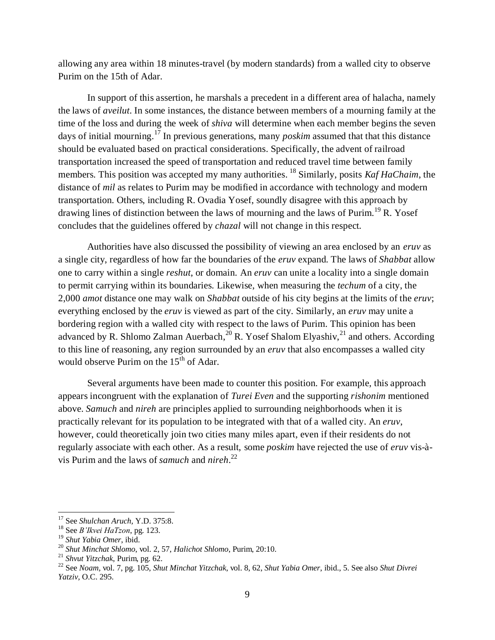allowing any area within 18 minutes-travel (by modern standards) from a walled city to observe Purim on the 15th of Adar.

In support of this assertion, he marshals a precedent in a different area of halacha, namely the laws of *aveilut*. In some instances, the distance between members of a mourning family at the time of the loss and during the week of *shiva* will determine when each member begins the seven days of initial mourning. <sup>17</sup> In previous generations, many *poskim* assumed that that this distance should be evaluated based on practical considerations. Specifically, the advent of railroad transportation increased the speed of transportation and reduced travel time between family members. This position was accepted my many authorities. <sup>18</sup> Similarly, posits *Kaf HaChaim*, the distance of *mil* as relates to Purim may be modified in accordance with technology and modern transportation. Others, including R. Ovadia Yosef, soundly disagree with this approach by drawing lines of distinction between the laws of mourning and the laws of Purim.<sup>19</sup> R. Yosef concludes that the guidelines offered by *chazal* will not change in this respect.

Authorities have also discussed the possibility of viewing an area enclosed by an *eruv* as a single city, regardless of how far the boundaries of the *eruv* expand. The laws of *Shabbat* allow one to carry within a single *reshut*, or domain. An *eruv* can unite a locality into a single domain to permit carrying within its boundaries. Likewise, when measuring the *techum* of a city, the 2,000 *amot* distance one may walk on *Shabbat* outside of his city begins at the limits of the *eruv*; everything enclosed by the *eruv* is viewed as part of the city. Similarly, an *eruv* may unite a bordering region with a walled city with respect to the laws of Purim. This opinion has been advanced by R. Shlomo Zalman Auerbach, $^{20}$  R. Yosef Shalom Elyashiv, $^{21}$  and others. According to this line of reasoning, any region surrounded by an *eruv* that also encompasses a walled city would observe Purim on the 15<sup>th</sup> of Adar.

Several arguments have been made to counter this position. For example, this approach appears incongruent with the explanation of *Turei Even* and the supporting *rishonim* mentioned above. *Samuch* and *nireh* are principles applied to surrounding neighborhoods when it is practically relevant for its population to be integrated with that of a walled city. An *eruv*, however, could theoretically join two cities many miles apart, even if their residents do not regularly associate with each other. As a result, some *poskim* have rejected the use of *eruv* vis-àvis Purim and the laws of *samuch* and *nireh*. 22

<sup>17</sup> See *Shulchan Aruch,* Y.D. 375:8.

<sup>18</sup> See *B'Ikvei HaTzon*, pg. 123.

<sup>19</sup> *Shut Yabia Omer*, ibid.

<sup>20</sup> *Shut Minchat Shlomo*, vol. 2, 57, *Halichot Shlomo*, Purim, 20:10.

<sup>21</sup> *Shvut Yitzchak*, Purim, pg. 62.

<sup>22</sup> See *Noam,* vol. 7, pg. 105, *Shut Minchat Yitzchak*, vol. 8, 62, *Shut Yabia Omer*, ibid., 5. See also *Shut Divrei Yatziv,* O.C. 295.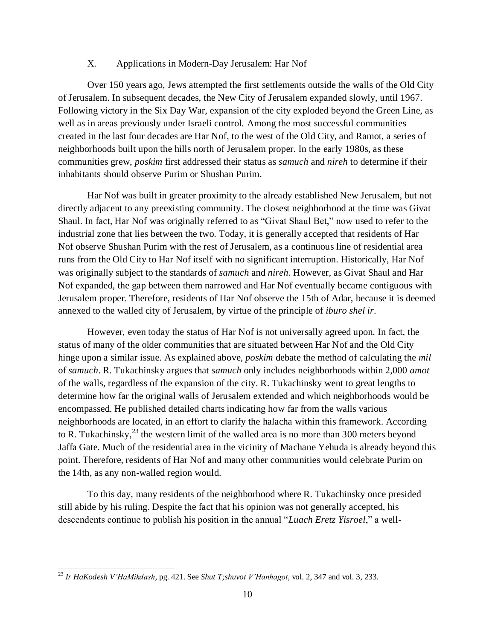#### X. Applications in Modern-Day Jerusalem: Har Nof

Over 150 years ago, Jews attempted the first settlements outside the walls of the Old City of Jerusalem. In subsequent decades, the New City of Jerusalem expanded slowly, until 1967. Following victory in the Six Day War, expansion of the city exploded beyond the Green Line, as well as in areas previously under Israeli control. Among the most successful communities created in the last four decades are Har Nof, to the west of the Old City, and Ramot, a series of neighborhoods built upon the hills north of Jerusalem proper. In the early 1980s, as these communities grew, *poskim* first addressed their status as *samuch* and *nireh* to determine if their inhabitants should observe Purim or Shushan Purim.

Har Nof was built in greater proximity to the already established New Jerusalem, but not directly adjacent to any preexisting community. The closest neighborhood at the time was Givat Shaul. In fact, Har Nof was originally referred to as "Givat Shaul Bet," now used to refer to the industrial zone that lies between the two. Today, it is generally accepted that residents of Har Nof observe Shushan Purim with the rest of Jerusalem, as a continuous line of residential area runs from the Old City to Har Nof itself with no significant interruption. Historically, Har Nof was originally subject to the standards of *samuch* and *nireh*. However, as Givat Shaul and Har Nof expanded, the gap between them narrowed and Har Nof eventually became contiguous with Jerusalem proper. Therefore, residents of Har Nof observe the 15th of Adar, because it is deemed annexed to the walled city of Jerusalem, by virtue of the principle of *iburo shel ir*.

However, even today the status of Har Nof is not universally agreed upon. In fact, the status of many of the older communities that are situated between Har Nof and the Old City hinge upon a similar issue. As explained above, *poskim* debate the method of calculating the *mil* of *samuch*. R. Tukachinsky argues that *samuch* only includes neighborhoods within 2,000 *amot*  of the walls, regardless of the expansion of the city. R. Tukachinsky went to great lengths to determine how far the original walls of Jerusalem extended and which neighborhoods would be encompassed. He published detailed charts indicating how far from the walls various neighborhoods are located, in an effort to clarify the halacha within this framework. According to R. Tukachinsky, $^{23}$  the western limit of the walled area is no more than 300 meters beyond Jaffa Gate. Much of the residential area in the vicinity of Machane Yehuda is already beyond this point. Therefore, residents of Har Nof and many other communities would celebrate Purim on the 14th, as any non-walled region would.

To this day, many residents of the neighborhood where R. Tukachinsky once presided still abide by his ruling. Despite the fact that his opinion was not generally accepted, his descendents continue to publish his position in the annual "*Luach Eretz Yisroel*," a well-

<sup>23</sup> *Ir HaKodesh V'HaMikdash*, pg. 421. See *Shut T;shuvot V'Hanhagot*, vol. 2, 347 and vol. 3, 233.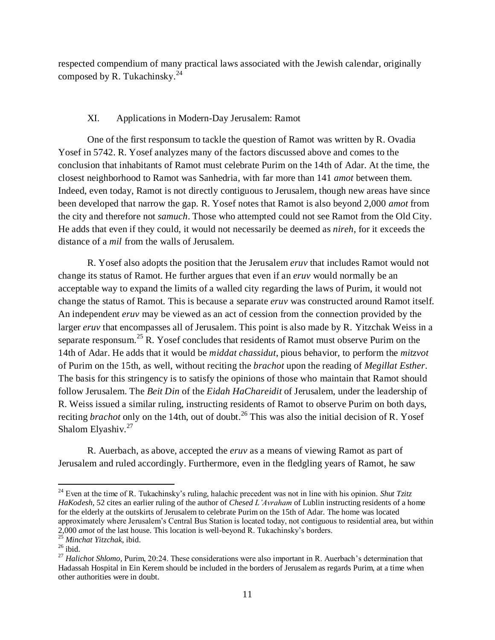respected compendium of many practical laws associated with the Jewish calendar, originally composed by R. Tukachinsky. $^{24}$ 

## XI. Applications in Modern-Day Jerusalem: Ramot

One of the first responsum to tackle the question of Ramot was written by R. Ovadia Yosef in 5742. R. Yosef analyzes many of the factors discussed above and comes to the conclusion that inhabitants of Ramot must celebrate Purim on the 14th of Adar. At the time, the closest neighborhood to Ramot was Sanhedria, with far more than 141 *amot* between them. Indeed, even today, Ramot is not directly contiguous to Jerusalem, though new areas have since been developed that narrow the gap. R. Yosef notes that Ramot is also beyond 2,000 *amot* from the city and therefore not *samuch*. Those who attempted could not see Ramot from the Old City. He adds that even if they could, it would not necessarily be deemed as *nireh*, for it exceeds the distance of a *mil* from the walls of Jerusalem.

R. Yosef also adopts the position that the Jerusalem *eruv* that includes Ramot would not change its status of Ramot. He further argues that even if an *eruv* would normally be an acceptable way to expand the limits of a walled city regarding the laws of Purim, it would not change the status of Ramot. This is because a separate *eruv* was constructed around Ramot itself. An independent *eruv* may be viewed as an act of cession from the connection provided by the larger *eruv* that encompasses all of Jerusalem. This point is also made by R. Yitzchak Weiss in a separate responsum.<sup>25</sup> R. Yosef concludes that residents of Ramot must observe Purim on the 14th of Adar. He adds that it would be *middat chassidut*, pious behavior, to perform the *mitzvot* of Purim on the 15th, as well, without reciting the *brachot* upon the reading of *Megillat Esther*. The basis for this stringency is to satisfy the opinions of those who maintain that Ramot should follow Jerusalem. The *Beit Din* of the *Eidah HaChareidit* of Jerusalem, under the leadership of R. Weiss issued a similar ruling, instructing residents of Ramot to observe Purim on both days, reciting *brachot* only on the 14th, out of doubt.<sup>26</sup> This was also the initial decision of R. Yosef Shalom Elyashiv.<sup>27</sup>

R. Auerbach, as above, accepted the *eruv* as a means of viewing Ramot as part of Jerusalem and ruled accordingly. Furthermore, even in the fledgling years of Ramot, he saw

<sup>&</sup>lt;sup>24</sup> Even at the time of R. Tukachinsky's ruling, halachic precedent was not in line with his opinion. *Shut Tzitz HaKodesh,* 52 cites an earlier ruling of the author of *Chesed L'Avraham* of Lublin instructing residents of a home for the elderly at the outskirts of Jerusalem to celebrate Purim on the 15th of Adar. The home was located approximately where Jerusalem's Central Bus Station is located today, not contiguous to residential area, but within 2,000 *amot* of the last house. This location is well-beyond R. Tukachinsky's borders.

<sup>25</sup> *Minchat Yitzchak,* ibid.

 $26$  ibid.

<sup>&</sup>lt;sup>27</sup> *Halichot Shlomo*, Purim, 20:24. These considerations were also important in R. Auerbach's determination that Hadassah Hospital in Ein Kerem should be included in the borders of Jerusalem as regards Purim, at a time when other authorities were in doubt.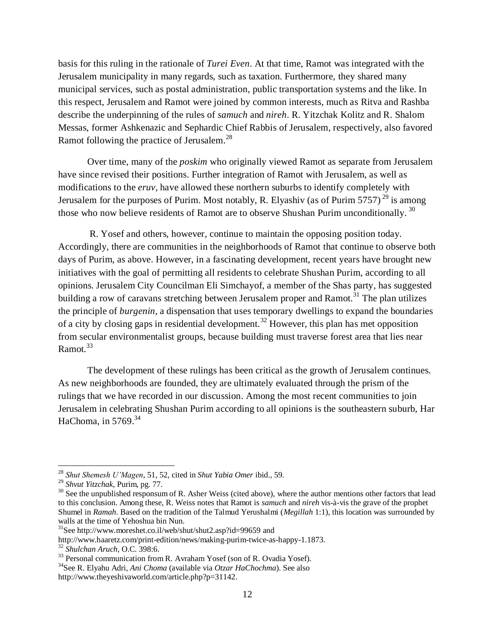basis for this ruling in the rationale of *Turei Even*. At that time, Ramot was integrated with the Jerusalem municipality in many regards, such as taxation. Furthermore, they shared many municipal services, such as postal administration, public transportation systems and the like. In this respect, Jerusalem and Ramot were joined by common interests, much as Ritva and Rashba describe the underpinning of the rules of *samuch* and *nireh*. R. Yitzchak Kolitz and R. Shalom Messas, former Ashkenazic and Sephardic Chief Rabbis of Jerusalem, respectively, also favored Ramot following the practice of Jerusalem.<sup>28</sup>

Over time, many of the *poskim* who originally viewed Ramot as separate from Jerusalem have since revised their positions. Further integration of Ramot with Jerusalem, as well as modifications to the *eruv,* have allowed these northern suburbs to identify completely with Jerusalem for the purposes of Purim. Most notably, R. Elyashiv (as of Purim 5757)<sup>29</sup> is among those who now believe residents of Ramot are to observe Shushan Purim unconditionally.  $^{30}$ 

R. Yosef and others, however, continue to maintain the opposing position today. Accordingly, there are communities in the neighborhoods of Ramot that continue to observe both days of Purim, as above. However, in a fascinating development, recent years have brought new initiatives with the goal of permitting all residents to celebrate Shushan Purim, according to all opinions. Jerusalem City Councilman Eli Simchayof, a member of the Shas party, has suggested building a row of caravans stretching between Jerusalem proper and Ramot.<sup>31</sup> The plan utilizes the principle of *burgenin*, a dispensation that uses temporary dwellings to expand the boundaries of a city by closing gaps in residential development.<sup>32</sup> However, this plan has met opposition from secular environmentalist groups, because building must traverse forest area that lies near Ramot.<sup>33</sup>

The development of these rulings has been critical as the growth of Jerusalem continues. As new neighborhoods are founded, they are ultimately evaluated through the prism of the rulings that we have recorded in our discussion. Among the most recent communities to join Jerusalem in celebrating Shushan Purim according to all opinions is the southeastern suburb, Har HaChoma, in 5769.<sup>34</sup>

<sup>28</sup> *Shut Shemesh U'Magen*, 51, 52, cited in *Shut Yabia Omer* ibid., 59.

<sup>29</sup> *Shvut Yitzchak*, Purim, pg. 77.

<sup>&</sup>lt;sup>30</sup> See the unpublished responsum of R. Asher Weiss (cited above), where the author mentions other factors that lead to this conclusion. Among these, R. Weiss notes that Ramot is *samuch* and *nireh* vis-à-vis the grave of the prophet Shumel in *Ramah*. Based on the tradition of the Talmud Yerushalmi (*Megillah* 1:1), this location was surrounded by walls at the time of Yehoshua bin Nun.

<sup>&</sup>lt;sup>31</sup>See http://www.moreshet.co.il/web/shut/shut2.asp?id=99659 and

http://www.haaretz.com/print-edition/news/making-purim-twice-as-happy-1.1873.

<sup>32</sup> *Shulchan Aruch,* O.C. 398:6.

<sup>&</sup>lt;sup>33</sup> Personal communication from R. Avraham Yosef (son of R. Ovadia Yosef).

<sup>34</sup>See R. Elyahu Adri, *Ani Choma* (available via *Otzar HaChochma*). See also

http://www.theyeshivaworld.com/article.php?p=31142.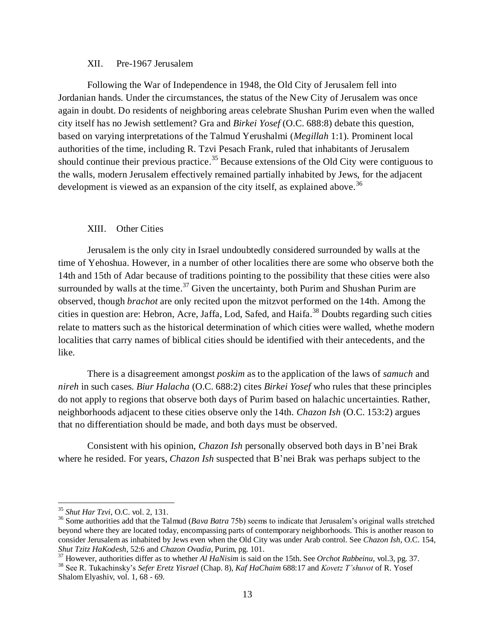#### XII. Pre-1967 Jerusalem

Following the War of Independence in 1948, the Old City of Jerusalem fell into Jordanian hands. Under the circumstances, the status of the New City of Jerusalem was once again in doubt. Do residents of neighboring areas celebrate Shushan Purim even when the walled city itself has no Jewish settlement? Gra and *Birkei Yosef* (O.C. 688:8) debate this question, based on varying interpretations of the Talmud Yerushalmi (*Megillah* 1:1). Prominent local authorities of the time, including R. Tzvi Pesach Frank, ruled that inhabitants of Jerusalem should continue their previous practice.<sup>35</sup> Because extensions of the Old City were contiguous to the walls, modern Jerusalem effectively remained partially inhabited by Jews, for the adjacent development is viewed as an expansion of the city itself, as explained above.<sup>36</sup>

#### XIII. Other Cities

Jerusalem is the only city in Israel undoubtedly considered surrounded by walls at the time of Yehoshua. However, in a number of other localities there are some who observe both the 14th and 15th of Adar because of traditions pointing to the possibility that these cities were also surrounded by walls at the time.<sup>37</sup> Given the uncertainty, both Purim and Shushan Purim are observed, though *brachot* are only recited upon the mitzvot performed on the 14th. Among the cities in question are: Hebron, Acre, Jaffa, Lod, Safed, and Haifa.<sup>38</sup> Doubts regarding such cities relate to matters such as the historical determination of which cities were walled, whethe modern localities that carry names of biblical cities should be identified with their antecedents, and the like.

There is a disagreement amongst *poskim* as to the application of the laws of *samuch* and *nireh* in such cases. *Biur Halacha* (O.C. 688:2) cites *Birkei Yosef* who rules that these principles do not apply to regions that observe both days of Purim based on halachic uncertainties. Rather, neighborhoods adjacent to these cities observe only the 14th. *Chazon Ish* (O.C. 153:2) argues that no differentiation should be made, and both days must be observed.

Consistent with his opinion, *Chazon Ish* personally observed both days in B'nei Brak where he resided. For years, *Chazon Ish* suspected that B'nei Brak was perhaps subject to the

<sup>35</sup> *Shut Har Tzvi*, O.C. vol. 2, 131.

<sup>&</sup>lt;sup>36</sup> Some authorities add that the Talmud (*Bava Batra* 75b) seems to indicate that Jerusalem's original walls stretched beyond where they are located today, encompassing parts of contemporary neighborhoods. This is another reason to consider Jerusalem as inhabited by Jews even when the Old City was under Arab control. See *Chazon Ish*, O.C. 154, *Shut Tzitz HaKodesh*, 52:6 and *Chazon Ovadia*, Purim, pg. 101.

<sup>37</sup> However, authorities differ as to whether *Al HaNisim* is said on the 15th. See *Orchot Rabbeinu*, vol.3, pg. 37.

<sup>38</sup> See R. Tukachinsky's *Sefer Eretz Yisrael* (Chap. 8), *Kaf HaChaim* 688:17 and *Kovetz T'shuvot* of R. Yosef Shalom Elyashiv, vol. 1, 68 - 69.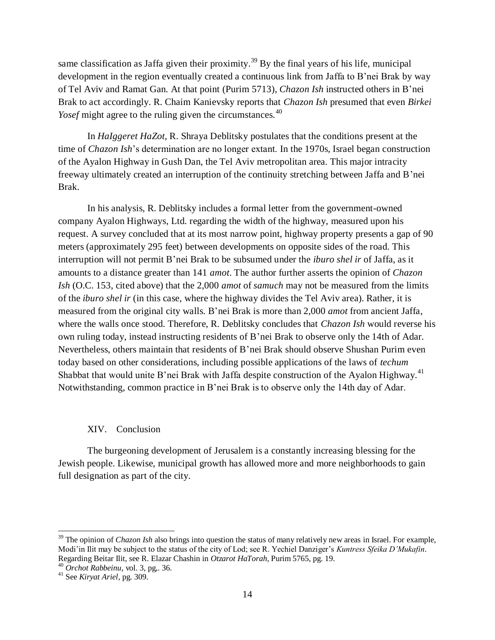same classification as Jaffa given their proximity.<sup>39</sup> By the final years of his life, municipal development in the region eventually created a continuous link from Jaffa to B'nei Brak by way of Tel Aviv and Ramat Gan. At that point (Purim 5713), *Chazon Ish* instructed others in B'nei Brak to act accordingly. R. Chaim Kanievsky reports that *Chazon Ish* presumed that even *Birkei Yosef* might agree to the ruling given the circumstances.<sup>40</sup>

In *HaIggeret HaZot*, R. Shraya Deblitsky postulates that the conditions present at the time of *Chazon Ish*'s determination are no longer extant. In the 1970s, Israel began construction of the Ayalon Highway in Gush Dan, the Tel Aviv metropolitan area. This major intracity freeway ultimately created an interruption of the continuity stretching between Jaffa and B'nei Brak.

In his analysis, R. Deblitsky includes a formal letter from the government-owned company Ayalon Highways, Ltd. regarding the width of the highway, measured upon his request. A survey concluded that at its most narrow point, highway property presents a gap of 90 meters (approximately 295 feet) between developments on opposite sides of the road. This interruption will not permit B'nei Brak to be subsumed under the *iburo shel ir* of Jaffa, as it amounts to a distance greater than 141 *amot*. The author further asserts the opinion of *Chazon Ish* (O.C. 153, cited above) that the 2,000 *amot* of *samuch* may not be measured from the limits of the *iburo shel ir* (in this case, where the highway divides the Tel Aviv area). Rather, it is measured from the original city walls. B'nei Brak is more than 2,000 *amot* from ancient Jaffa, where the walls once stood. Therefore, R. Deblitsky concludes that *Chazon Ish* would reverse his own ruling today, instead instructing residents of B'nei Brak to observe only the 14th of Adar. Nevertheless, others maintain that residents of B'nei Brak should observe Shushan Purim even today based on other considerations, including possible applications of the laws of *techum* Shabbat that would unite B'nei Brak with Jaffa despite construction of the Ayalon Highway.<sup>41</sup> Notwithstanding, common practice in B'nei Brak is to observe only the 14th day of Adar.

## XIV. Conclusion

The burgeoning development of Jerusalem is a constantly increasing blessing for the Jewish people. Likewise, municipal growth has allowed more and more neighborhoods to gain full designation as part of the city.

 <sup>39</sup> The opinion of *Chazon Ish* also brings into question the status of many relatively new areas in Israel. For example, Modi'in Ilit may be subject to the status of the city of Lod; see R. Yechiel Danziger's *Kuntress Sfeika D'Mukafin*. Regarding Beitar Ilit, see R. Elazar Chashin in *Otzarot HaTorah,* Purim 5765, pg. 19.

<sup>40</sup> *Orchot Rabbeinu*, vol. 3, pg,. 36.

<sup>41</sup> See *Kiryat Ariel*, pg. 309.